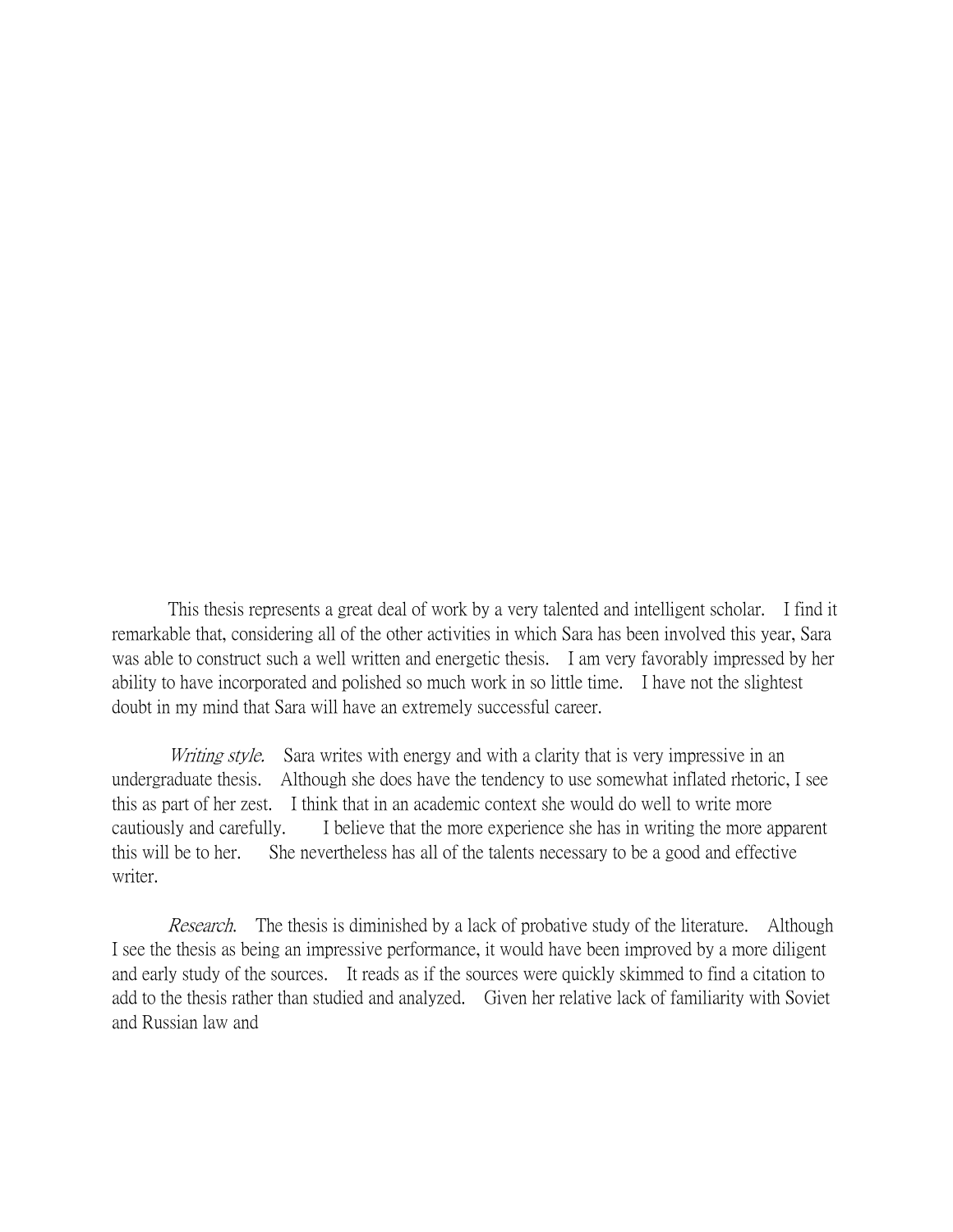This thesis represents a great deal of work by a very talented and intelligent scholar. I find it remarkable that, considering all of the other activities in which Sara has been involved this year, Sara was able to construct such a well written and energetic thesis. I am very favorably impressed by her ability to have incorporated and polished so much work in so little time. I have not the slightest doubt in my mind that Sara will have an extremely successful career.

Writing style. Sara writes with energy and with a clarity that is very impressive in an undergraduate thesis. Although she does have the tendency to use somewhat inflated rhetoric, I see this as part of her zest. I think that in an academic context she would do well to write more cautiously and carefully. I believe that the more experience she has in writing the more apparent this will be to her. She nevertheless has all of the talents necessary to be a good and effective writer.

Research. The thesis is diminished by a lack of probative study of the literature. Although I see the thesis as being an impressive performance, it would have been improved by a more diligent and early study of the sources. It reads as if the sources were quickly skimmed to find a citation to add to the thesis rather than studied and analyzed. Given her relative lack of familiarity with Soviet and Russian law and